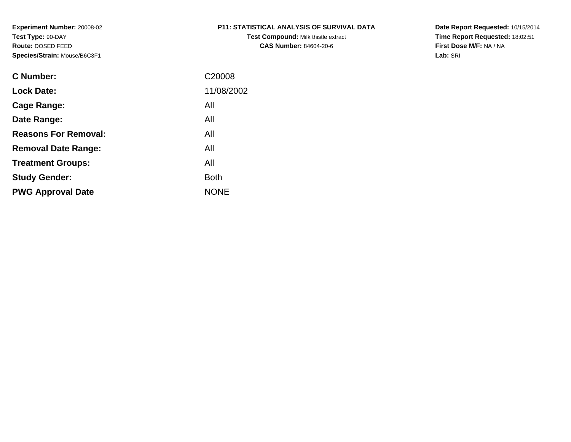**Test Compound:** Milk thistle extract**CAS Number:** 84604-20-6

**Date Report Requested:** 10/15/2014 **Time Report Requested:** 18:02:51**First Dose M/F:** NA / NA**Lab:** SRI

| <b>C</b> Number:            | C <sub>20008</sub> |
|-----------------------------|--------------------|
| <b>Lock Date:</b>           | 11/08/2002         |
| Cage Range:                 | All                |
| Date Range:                 | All                |
| <b>Reasons For Removal:</b> | All                |
| <b>Removal Date Range:</b>  | All                |
| <b>Treatment Groups:</b>    | All                |
| <b>Study Gender:</b>        | <b>Both</b>        |
| <b>PWG Approval Date</b>    | <b>NONE</b>        |
|                             |                    |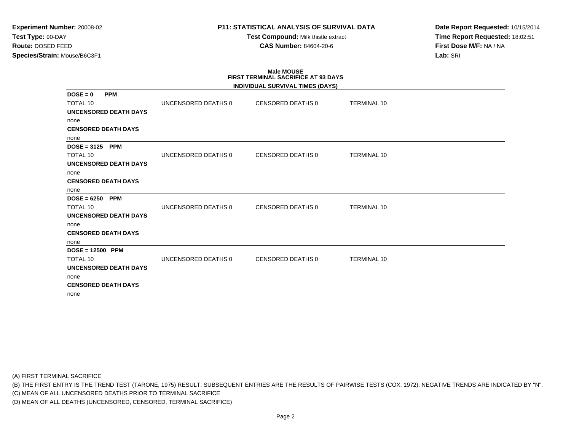# **P11: STATISTICAL ANALYSIS OF SURVIVAL DATA**

**Test Compound:** Milk thistle extract**CAS Number:** 84604-20-6

**Date Report Requested:** 10/15/2014**Time Report Requested:** 18:02:51**First Dose M/F:** NA / NA**Lab:** SRI

# **Male MOUSEFIRST TERMINAL SACRIFICE AT 93 DAYS**

|                              |                     | INDIVIDUAL SURVIVAL TIMES (DAYS) |                    |
|------------------------------|---------------------|----------------------------------|--------------------|
| $DOSE = 0$<br><b>PPM</b>     |                     |                                  |                    |
| <b>TOTAL 10</b>              | UNCENSORED DEATHS 0 | CENSORED DEATHS 0                | <b>TERMINAL 10</b> |
| <b>UNCENSORED DEATH DAYS</b> |                     |                                  |                    |
| none                         |                     |                                  |                    |
| <b>CENSORED DEATH DAYS</b>   |                     |                                  |                    |
| none                         |                     |                                  |                    |
| $DOSE = 3125$<br><b>PPM</b>  |                     |                                  |                    |
| <b>TOTAL 10</b>              | UNCENSORED DEATHS 0 | <b>CENSORED DEATHS 0</b>         | <b>TERMINAL 10</b> |
| <b>UNCENSORED DEATH DAYS</b> |                     |                                  |                    |
| none                         |                     |                                  |                    |
| <b>CENSORED DEATH DAYS</b>   |                     |                                  |                    |
| none                         |                     |                                  |                    |
| $DOSE = 6250$<br><b>PPM</b>  |                     |                                  |                    |
| <b>TOTAL 10</b>              | UNCENSORED DEATHS 0 | <b>CENSORED DEATHS 0</b>         | <b>TERMINAL 10</b> |
| <b>UNCENSORED DEATH DAYS</b> |                     |                                  |                    |
| none                         |                     |                                  |                    |
| <b>CENSORED DEATH DAYS</b>   |                     |                                  |                    |
| none                         |                     |                                  |                    |
| $DOSE = 12500$ PPM           |                     |                                  |                    |
| TOTAL 10                     | UNCENSORED DEATHS 0 | <b>CENSORED DEATHS 0</b>         | <b>TERMINAL 10</b> |
| <b>UNCENSORED DEATH DAYS</b> |                     |                                  |                    |
| none                         |                     |                                  |                    |
| <b>CENSORED DEATH DAYS</b>   |                     |                                  |                    |
| none                         |                     |                                  |                    |

(A) FIRST TERMINAL SACRIFICE

(B) THE FIRST ENTRY IS THE TREND TEST (TARONE, 1975) RESULT. SUBSEQUENT ENTRIES ARE THE RESULTS OF PAIRWISE TESTS (COX, 1972). NEGATIVE TRENDS ARE INDICATED BY "N".

(C) MEAN OF ALL UNCENSORED DEATHS PRIOR TO TERMINAL SACRIFICE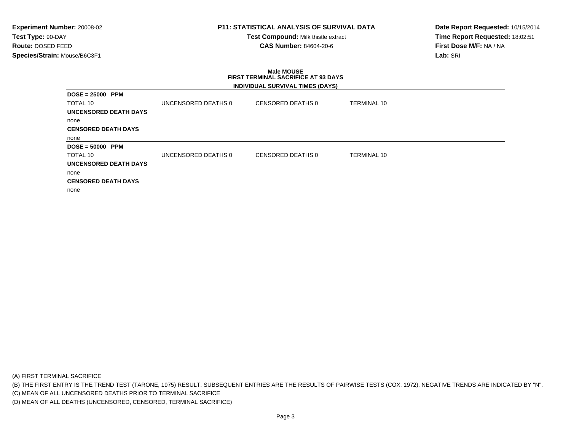# **P11: STATISTICAL ANALYSIS OF SURVIVAL DATA**

**Test Compound:** Milk thistle extract**CAS Number:** 84604-20-6

**Date Report Requested:** 10/15/2014**Time Report Requested:** 18:02:51**First Dose M/F:** NA / NA**Lab:** SRI

### **Male MOUSE FIRST TERMINAL SACRIFICE AT 93 DAYSINDIVIDUAL SURVIVAL TIMES (DAYS)**

| $DOSE = 25000$ PPM         |                     |                   |                    |
|----------------------------|---------------------|-------------------|--------------------|
| TOTAL 10                   | UNCENSORED DEATHS 0 | CENSORED DEATHS 0 | <b>TERMINAL 10</b> |
| UNCENSORED DEATH DAYS      |                     |                   |                    |
| none                       |                     |                   |                    |
| <b>CENSORED DEATH DAYS</b> |                     |                   |                    |
| none                       |                     |                   |                    |
| $DOSE = 50000$ PPM         |                     |                   |                    |
| TOTAL 10                   | UNCENSORED DEATHS 0 | CENSORED DEATHS 0 | <b>TERMINAL 10</b> |
| UNCENSORED DEATH DAYS      |                     |                   |                    |
| none                       |                     |                   |                    |
| <b>CENSORED DEATH DAYS</b> |                     |                   |                    |
| none                       |                     |                   |                    |

(A) FIRST TERMINAL SACRIFICE

(B) THE FIRST ENTRY IS THE TREND TEST (TARONE, 1975) RESULT. SUBSEQUENT ENTRIES ARE THE RESULTS OF PAIRWISE TESTS (COX, 1972). NEGATIVE TRENDS ARE INDICATED BY "N".

(C) MEAN OF ALL UNCENSORED DEATHS PRIOR TO TERMINAL SACRIFICE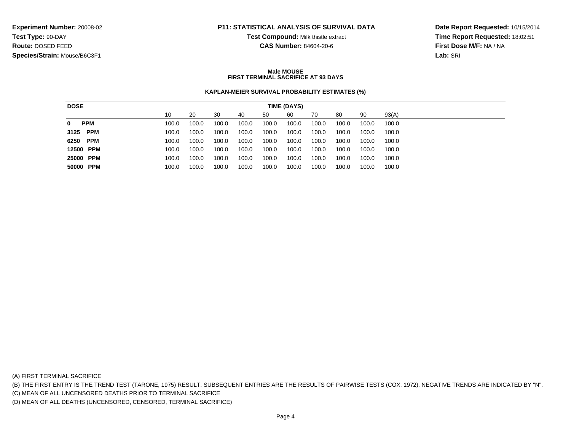### **P11: STATISTICAL ANALYSIS OF SURVIVAL DATA**

**Test Compound:** Milk thistle extract

**CAS Number:** 84604-20-6

**Date Report Requested:** 10/15/2014**Time Report Requested:** 18:02:51**First Dose M/F:** NA / NA**Lab:** SRI

### **Male MOUSEFIRST TERMINAL SACRIFICE AT 93 DAYS**

### **KAPLAN-MEIER SURVIVAL PROBABILITY ESTIMATES (%)**

| <b>DOSE</b>     |       |       |       |       |       | TIME (DAYS) |       |       |       |       |
|-----------------|-------|-------|-------|-------|-------|-------------|-------|-------|-------|-------|
|                 | 10    | 20    | 30    | 40    | 50    | 60          | 70    | 80    | 90    | 93(A) |
| <b>PPM</b><br>0 | 100.0 | 100.0 | 100.0 | 100.0 | 100.0 | 100.0       | 100.0 | 100.0 | 100.0 | 100.0 |
| 3125 PPM        | 100.0 | 100.0 | 100.0 | 100.0 | 100.0 | 100.0       | 100.0 | 100.0 | 100.0 | 100.0 |
| 6250 PPM        | 100.0 | 100.0 | 100.0 | 100.0 | 100.0 | 100.0       | 100.0 | 100.0 | 100.0 | 100.0 |
| 12500 PPM       | 100.0 | 100.0 | 100.0 | 100.0 | 100.0 | 100.0       | 100.0 | 100.0 | 100.0 | 100.0 |
| 25000 PPM       | 100.0 | 100.0 | 100.0 | 100.0 | 100.0 | 100.0       | 100.0 | 100.0 | 100.0 | 100.0 |
| 50000 PPM       | 100.0 | 100.0 | 100.0 | 100.0 | 100.0 | 100.0       | 100.0 | 100.0 | 100.0 | 100.0 |
|                 |       |       |       |       |       |             |       |       |       |       |

(A) FIRST TERMINAL SACRIFICE

(B) THE FIRST ENTRY IS THE TREND TEST (TARONE, 1975) RESULT. SUBSEQUENT ENTRIES ARE THE RESULTS OF PAIRWISE TESTS (COX, 1972). NEGATIVE TRENDS ARE INDICATED BY "N".

(C) MEAN OF ALL UNCENSORED DEATHS PRIOR TO TERMINAL SACRIFICE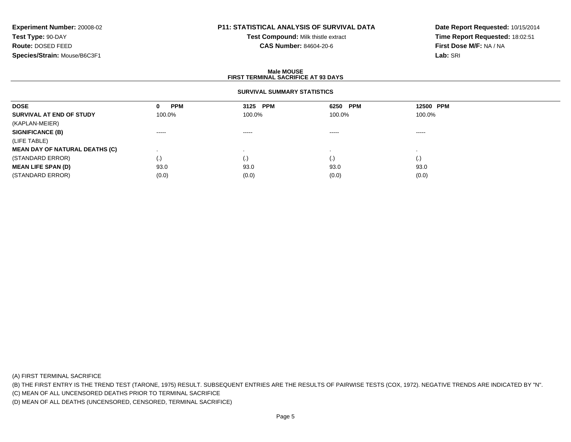# **P11: STATISTICAL ANALYSIS OF SURVIVAL DATA**

**Test Compound:** Milk thistle extract**CAS Number:** 84604-20-6

**Date Report Requested:** 10/15/2014**Time Report Requested:** 18:02:51**First Dose M/F:** NA / NA**Lab:** SRI

### **Male MOUSEFIRST TERMINAL SACRIFICE AT 93 DAYS**

### **SURVIVAL SUMMARY STATISTICS**

| <b>DOSE</b>                           | <b>PPM</b><br>0                                                                                                                                                                                                                                                                                                                                                                                                                                                                        | 3125 PPM               | 6250 PPM                                                                                                                                                                                                                                                                                                                                                                                                                                                                               | 12500 PPM                                                                                                                                                                                                                                                                                                                                                                                                                                                                              |  |
|---------------------------------------|----------------------------------------------------------------------------------------------------------------------------------------------------------------------------------------------------------------------------------------------------------------------------------------------------------------------------------------------------------------------------------------------------------------------------------------------------------------------------------------|------------------------|----------------------------------------------------------------------------------------------------------------------------------------------------------------------------------------------------------------------------------------------------------------------------------------------------------------------------------------------------------------------------------------------------------------------------------------------------------------------------------------|----------------------------------------------------------------------------------------------------------------------------------------------------------------------------------------------------------------------------------------------------------------------------------------------------------------------------------------------------------------------------------------------------------------------------------------------------------------------------------------|--|
| SURVIVAL AT END OF STUDY              | 100.0%                                                                                                                                                                                                                                                                                                                                                                                                                                                                                 | 100.0%                 | 100.0%                                                                                                                                                                                                                                                                                                                                                                                                                                                                                 | 100.0%                                                                                                                                                                                                                                                                                                                                                                                                                                                                                 |  |
| (KAPLAN-MEIER)                        |                                                                                                                                                                                                                                                                                                                                                                                                                                                                                        |                        |                                                                                                                                                                                                                                                                                                                                                                                                                                                                                        |                                                                                                                                                                                                                                                                                                                                                                                                                                                                                        |  |
| <b>SIGNIFICANCE (B)</b>               | $\begin{array}{cccccccccccccc} \multicolumn{2}{c}{} & \multicolumn{2}{c}{} & \multicolumn{2}{c}{} & \multicolumn{2}{c}{} & \multicolumn{2}{c}{} & \multicolumn{2}{c}{} & \multicolumn{2}{c}{} & \multicolumn{2}{c}{} & \multicolumn{2}{c}{} & \multicolumn{2}{c}{} & \multicolumn{2}{c}{} & \multicolumn{2}{c}{} & \multicolumn{2}{c}{} & \multicolumn{2}{c}{} & \multicolumn{2}{c}{} & \multicolumn{2}{c}{} & \multicolumn{2}{c}{} & \multicolumn{2}{c}{} & \multicolumn{2}{c}{} & \$ | $\cdots \cdots \cdots$ | $\begin{array}{cccccccccccccc} \multicolumn{2}{c}{} & \multicolumn{2}{c}{} & \multicolumn{2}{c}{} & \multicolumn{2}{c}{} & \multicolumn{2}{c}{} & \multicolumn{2}{c}{} & \multicolumn{2}{c}{} & \multicolumn{2}{c}{} & \multicolumn{2}{c}{} & \multicolumn{2}{c}{} & \multicolumn{2}{c}{} & \multicolumn{2}{c}{} & \multicolumn{2}{c}{} & \multicolumn{2}{c}{} & \multicolumn{2}{c}{} & \multicolumn{2}{c}{} & \multicolumn{2}{c}{} & \multicolumn{2}{c}{} & \multicolumn{2}{c}{} & \$ | $\begin{array}{cccccccccccccc} \multicolumn{2}{c}{} & \multicolumn{2}{c}{} & \multicolumn{2}{c}{} & \multicolumn{2}{c}{} & \multicolumn{2}{c}{} & \multicolumn{2}{c}{} & \multicolumn{2}{c}{} & \multicolumn{2}{c}{} & \multicolumn{2}{c}{} & \multicolumn{2}{c}{} & \multicolumn{2}{c}{} & \multicolumn{2}{c}{} & \multicolumn{2}{c}{} & \multicolumn{2}{c}{} & \multicolumn{2}{c}{} & \multicolumn{2}{c}{} & \multicolumn{2}{c}{} & \multicolumn{2}{c}{} & \multicolumn{2}{c}{} & \$ |  |
| (LIFE TABLE)                          |                                                                                                                                                                                                                                                                                                                                                                                                                                                                                        |                        |                                                                                                                                                                                                                                                                                                                                                                                                                                                                                        |                                                                                                                                                                                                                                                                                                                                                                                                                                                                                        |  |
| <b>MEAN DAY OF NATURAL DEATHS (C)</b> |                                                                                                                                                                                                                                                                                                                                                                                                                                                                                        |                        |                                                                                                                                                                                                                                                                                                                                                                                                                                                                                        |                                                                                                                                                                                                                                                                                                                                                                                                                                                                                        |  |
| (STANDARD ERROR)                      | $\left( .\right)$                                                                                                                                                                                                                                                                                                                                                                                                                                                                      | (.)                    | (.)                                                                                                                                                                                                                                                                                                                                                                                                                                                                                    | $\left( . \right)$                                                                                                                                                                                                                                                                                                                                                                                                                                                                     |  |
| <b>MEAN LIFE SPAN (D)</b>             | 93.0                                                                                                                                                                                                                                                                                                                                                                                                                                                                                   | 93.0                   | 93.0                                                                                                                                                                                                                                                                                                                                                                                                                                                                                   | 93.0                                                                                                                                                                                                                                                                                                                                                                                                                                                                                   |  |
| (STANDARD ERROR)                      | (0.0)                                                                                                                                                                                                                                                                                                                                                                                                                                                                                  | (0.0)                  | (0.0)                                                                                                                                                                                                                                                                                                                                                                                                                                                                                  | (0.0)                                                                                                                                                                                                                                                                                                                                                                                                                                                                                  |  |

(A) FIRST TERMINAL SACRIFICE

(B) THE FIRST ENTRY IS THE TREND TEST (TARONE, 1975) RESULT. SUBSEQUENT ENTRIES ARE THE RESULTS OF PAIRWISE TESTS (COX, 1972). NEGATIVE TRENDS ARE INDICATED BY "N".

(C) MEAN OF ALL UNCENSORED DEATHS PRIOR TO TERMINAL SACRIFICE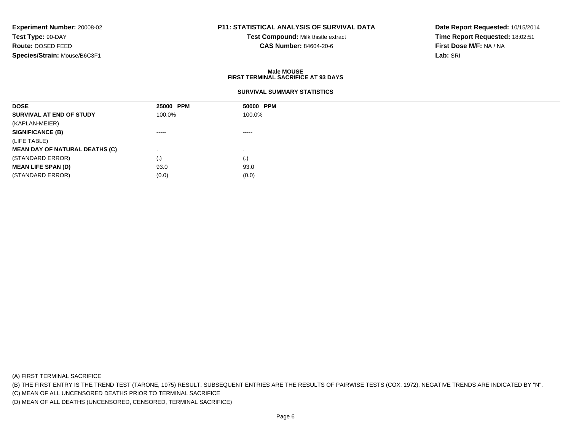# **P11: STATISTICAL ANALYSIS OF SURVIVAL DATA**

**Test Compound:** Milk thistle extract**CAS Number:** 84604-20-6

**Date Report Requested:** 10/15/2014**Time Report Requested:** 18:02:51**First Dose M/F:** NA / NA**Lab:** SRI

### **Male MOUSEFIRST TERMINAL SACRIFICE AT 93 DAYS**

### **SURVIVAL SUMMARY STATISTICS**

| <b>DOSE</b>                           | 25000 PPM | 50000 PPM |
|---------------------------------------|-----------|-----------|
| SURVIVAL AT END OF STUDY              | 100.0%    | 100.0%    |
| (KAPLAN-MEIER)                        |           |           |
| <b>SIGNIFICANCE (B)</b>               | ------    | $\cdots$  |
| (LIFE TABLE)                          |           |           |
| <b>MEAN DAY OF NATURAL DEATHS (C)</b> |           |           |
| (STANDARD ERROR)                      | (.)       | (.)       |
| <b>MEAN LIFE SPAN (D)</b>             | 93.0      | 93.0      |
| (STANDARD ERROR)                      | (0.0)     | (0.0)     |

(A) FIRST TERMINAL SACRIFICE

(B) THE FIRST ENTRY IS THE TREND TEST (TARONE, 1975) RESULT. SUBSEQUENT ENTRIES ARE THE RESULTS OF PAIRWISE TESTS (COX, 1972). NEGATIVE TRENDS ARE INDICATED BY "N".

(C) MEAN OF ALL UNCENSORED DEATHS PRIOR TO TERMINAL SACRIFICE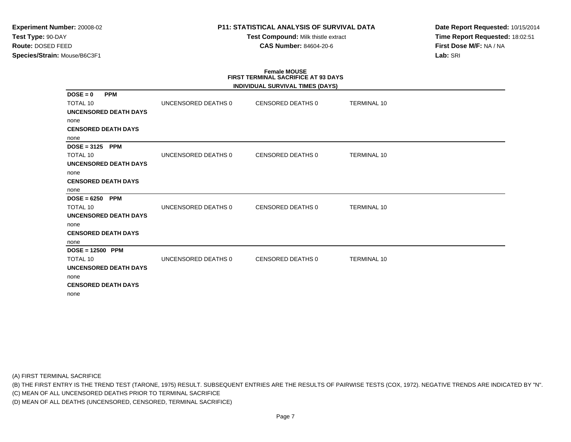# **P11: STATISTICAL ANALYSIS OF SURVIVAL DATA**

**Test Compound:** Milk thistle extract**CAS Number:** 84604-20-6

**Date Report Requested:** 10/15/2014**Time Report Requested:** 18:02:51**First Dose M/F:** NA / NA**Lab:** SRI

# **Female MOUSE FIRST TERMINAL SACRIFICE AT 93 DAYS**

|                              |                     | INDIVIDUAL SURVIVAL TIMES (DAYS) |                    |
|------------------------------|---------------------|----------------------------------|--------------------|
| $DOSE = 0$<br><b>PPM</b>     |                     |                                  |                    |
| <b>TOTAL 10</b>              | UNCENSORED DEATHS 0 | CENSORED DEATHS 0                | <b>TERMINAL 10</b> |
| <b>UNCENSORED DEATH DAYS</b> |                     |                                  |                    |
| none                         |                     |                                  |                    |
| <b>CENSORED DEATH DAYS</b>   |                     |                                  |                    |
| none                         |                     |                                  |                    |
| $DOSE = 3125$<br><b>PPM</b>  |                     |                                  |                    |
| <b>TOTAL 10</b>              | UNCENSORED DEATHS 0 | <b>CENSORED DEATHS 0</b>         | <b>TERMINAL 10</b> |
| <b>UNCENSORED DEATH DAYS</b> |                     |                                  |                    |
| none                         |                     |                                  |                    |
| <b>CENSORED DEATH DAYS</b>   |                     |                                  |                    |
| none                         |                     |                                  |                    |
| $DOSE = 6250$<br><b>PPM</b>  |                     |                                  |                    |
| <b>TOTAL 10</b>              | UNCENSORED DEATHS 0 | <b>CENSORED DEATHS 0</b>         | <b>TERMINAL 10</b> |
| <b>UNCENSORED DEATH DAYS</b> |                     |                                  |                    |
| none                         |                     |                                  |                    |
| <b>CENSORED DEATH DAYS</b>   |                     |                                  |                    |
| none                         |                     |                                  |                    |
| $DOSE = 12500$ PPM           |                     |                                  |                    |
| TOTAL 10                     | UNCENSORED DEATHS 0 | <b>CENSORED DEATHS 0</b>         | <b>TERMINAL 10</b> |
| <b>UNCENSORED DEATH DAYS</b> |                     |                                  |                    |
| none                         |                     |                                  |                    |
| <b>CENSORED DEATH DAYS</b>   |                     |                                  |                    |
| none                         |                     |                                  |                    |

(A) FIRST TERMINAL SACRIFICE

(B) THE FIRST ENTRY IS THE TREND TEST (TARONE, 1975) RESULT. SUBSEQUENT ENTRIES ARE THE RESULTS OF PAIRWISE TESTS (COX, 1972). NEGATIVE TRENDS ARE INDICATED BY "N".

(C) MEAN OF ALL UNCENSORED DEATHS PRIOR TO TERMINAL SACRIFICE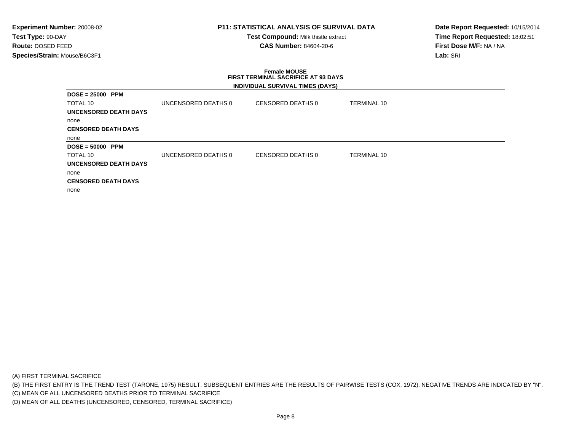# **P11: STATISTICAL ANALYSIS OF SURVIVAL DATA**

**Test Compound:** Milk thistle extract**CAS Number:** 84604-20-6

**Date Report Requested:** 10/15/2014**Time Report Requested:** 18:02:51**First Dose M/F:** NA / NA**Lab:** SRI

### **Female MOUSE FIRST TERMINAL SACRIFICE AT 93 DAYSINDIVIDUAL SURVIVAL TIMES (DAYS)**

|                            |                     | $\overline{\phantom{a}}$ |             |
|----------------------------|---------------------|--------------------------|-------------|
| $DOSE = 25000$ PPM         |                     |                          |             |
| TOTAL 10                   | UNCENSORED DEATHS 0 | CENSORED DEATHS 0        | TERMINAL 10 |
| UNCENSORED DEATH DAYS      |                     |                          |             |
| none                       |                     |                          |             |
| <b>CENSORED DEATH DAYS</b> |                     |                          |             |
| none                       |                     |                          |             |
| $DOSE = 50000$ PPM         |                     |                          |             |
| TOTAL 10                   | UNCENSORED DEATHS 0 | CENSORED DEATHS 0        | TERMINAL 10 |
| UNCENSORED DEATH DAYS      |                     |                          |             |
| none                       |                     |                          |             |
| <b>CENSORED DEATH DAYS</b> |                     |                          |             |
| none                       |                     |                          |             |

(A) FIRST TERMINAL SACRIFICE

(B) THE FIRST ENTRY IS THE TREND TEST (TARONE, 1975) RESULT. SUBSEQUENT ENTRIES ARE THE RESULTS OF PAIRWISE TESTS (COX, 1972). NEGATIVE TRENDS ARE INDICATED BY "N".

(C) MEAN OF ALL UNCENSORED DEATHS PRIOR TO TERMINAL SACRIFICE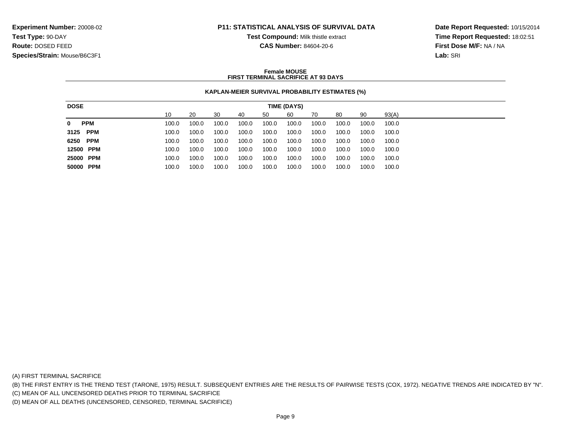### **P11: STATISTICAL ANALYSIS OF SURVIVAL DATA**

**Test Compound:** Milk thistle extract

**CAS Number:** 84604-20-6

**Date Report Requested:** 10/15/2014**Time Report Requested:** 18:02:51**First Dose M/F:** NA / NA**Lab:** SRI

### **Female MOUSEFIRST TERMINAL SACRIFICE AT 93 DAYS**

### **KAPLAN-MEIER SURVIVAL PROBABILITY ESTIMATES (%)**

| <b>DOSE</b>               |       |       |       |       |       | TIME (DAYS) |       |       |       |       |
|---------------------------|-------|-------|-------|-------|-------|-------------|-------|-------|-------|-------|
|                           | 10    | 20    | 30    | 40    | 50    | 60          | 70    | 80    | 90    | 93(A) |
| <b>PPM</b><br>$\mathbf 0$ | 100.0 | 100.0 | 100.0 | 100.0 | 100.0 | 100.0       | 100.0 | 100.0 | 100.0 | 100.0 |
| 3125 PPM                  | 100.0 | 100.0 | 100.0 | 100.0 | 100.0 | 100.0       | 100.0 | 100.0 | 100.0 | 100.0 |
| 6250 PPM                  | 100.0 | 100.0 | 100.0 | 100.0 | 100.0 | 100.0       | 100.0 | 100.0 | 100.0 | 100.0 |
| 12500 PPM                 | 100.0 | 100.0 | 100.0 | 100.0 | 100.0 | 100.0       | 100.0 | 100.0 | 100.0 | 100.0 |
| 25000 PPM                 | 100.0 | 100.0 | 100.0 | 100.0 | 100.0 | 100.0       | 100.0 | 100.0 | 100.0 | 100.0 |
| 50000 PPM                 | 100.0 | 100.0 | 100.0 | 100.0 | 100.0 | 100.0       | 100.0 | 100.0 | 100.0 | 100.0 |
|                           |       |       |       |       |       |             |       |       |       |       |

(A) FIRST TERMINAL SACRIFICE

(B) THE FIRST ENTRY IS THE TREND TEST (TARONE, 1975) RESULT. SUBSEQUENT ENTRIES ARE THE RESULTS OF PAIRWISE TESTS (COX, 1972). NEGATIVE TRENDS ARE INDICATED BY "N".

(C) MEAN OF ALL UNCENSORED DEATHS PRIOR TO TERMINAL SACRIFICE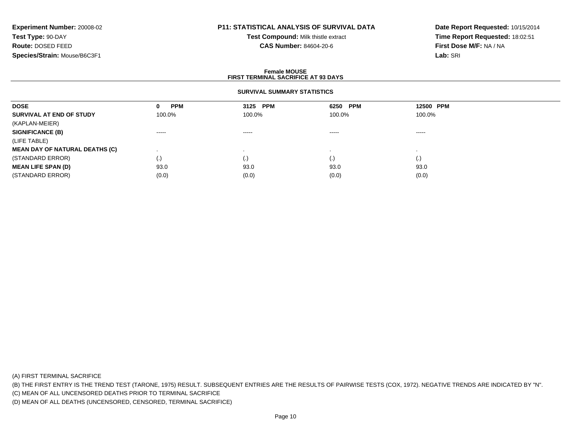# **P11: STATISTICAL ANALYSIS OF SURVIVAL DATA**

**Test Compound:** Milk thistle extract**CAS Number:** 84604-20-6

**Date Report Requested:** 10/15/2014**Time Report Requested:** 18:02:51**First Dose M/F:** NA / NA**Lab:** SRI

### **Female MOUSEFIRST TERMINAL SACRIFICE AT 93 DAYS**

### **SURVIVAL SUMMARY STATISTICS**

| <b>DOSE</b>                           | <b>PPM</b><br>$\mathbf 0$ | 3125 PPM               | 6250 PPM | 12500 PPM          |  |
|---------------------------------------|---------------------------|------------------------|----------|--------------------|--|
| SURVIVAL AT END OF STUDY              | 100.0%                    | 100.0%                 | 100.0%   | 100.0%             |  |
| (KAPLAN-MEIER)                        |                           |                        |          |                    |  |
| <b>SIGNIFICANCE (B)</b>               | $\cdots$                  | $\cdots \cdots \cdots$ | $\cdots$ | -----              |  |
| (LIFE TABLE)                          |                           |                        |          |                    |  |
| <b>MEAN DAY OF NATURAL DEATHS (C)</b> |                           |                        |          |                    |  |
| (STANDARD ERROR)                      | $\left( .\right)$         | (.)                    | (.)      | $\left( . \right)$ |  |
| <b>MEAN LIFE SPAN (D)</b>             | 93.0                      | 93.0                   | 93.0     | 93.0               |  |
| (STANDARD ERROR)                      | (0.0)                     | (0.0)                  | (0.0)    | (0.0)              |  |

(A) FIRST TERMINAL SACRIFICE

(B) THE FIRST ENTRY IS THE TREND TEST (TARONE, 1975) RESULT. SUBSEQUENT ENTRIES ARE THE RESULTS OF PAIRWISE TESTS (COX, 1972). NEGATIVE TRENDS ARE INDICATED BY "N".

(C) MEAN OF ALL UNCENSORED DEATHS PRIOR TO TERMINAL SACRIFICE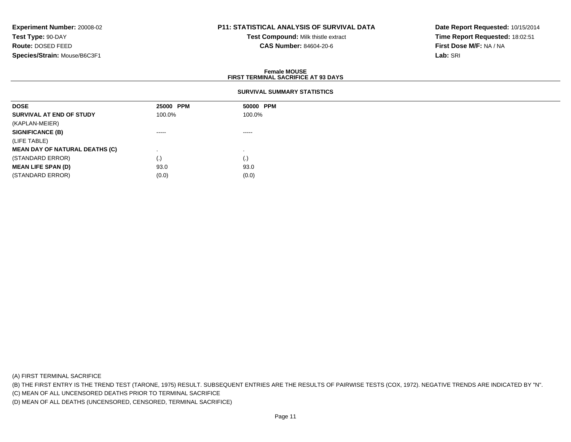# **P11: STATISTICAL ANALYSIS OF SURVIVAL DATA**

**Test Compound:** Milk thistle extract**CAS Number:** 84604-20-6

**Date Report Requested:** 10/15/2014**Time Report Requested:** 18:02:51**First Dose M/F:** NA / NA**Lab:** SRI

### **Female MOUSEFIRST TERMINAL SACRIFICE AT 93 DAYS**

### **SURVIVAL SUMMARY STATISTICS**

| <b>DOSE</b>                           | 25000 PPM                                                                                                                                                                                                                                                                                                                                                                                                                                                                              | 50000 PPM                                                                                                                                                                                                                                                                                                                                                                                                                                                                              |
|---------------------------------------|----------------------------------------------------------------------------------------------------------------------------------------------------------------------------------------------------------------------------------------------------------------------------------------------------------------------------------------------------------------------------------------------------------------------------------------------------------------------------------------|----------------------------------------------------------------------------------------------------------------------------------------------------------------------------------------------------------------------------------------------------------------------------------------------------------------------------------------------------------------------------------------------------------------------------------------------------------------------------------------|
| SURVIVAL AT END OF STUDY              | 100.0%                                                                                                                                                                                                                                                                                                                                                                                                                                                                                 | 100.0%                                                                                                                                                                                                                                                                                                                                                                                                                                                                                 |
| (KAPLAN-MEIER)                        |                                                                                                                                                                                                                                                                                                                                                                                                                                                                                        |                                                                                                                                                                                                                                                                                                                                                                                                                                                                                        |
| <b>SIGNIFICANCE (B)</b>               | $\begin{array}{cccccccccccccc} \multicolumn{2}{c}{} & \multicolumn{2}{c}{} & \multicolumn{2}{c}{} & \multicolumn{2}{c}{} & \multicolumn{2}{c}{} & \multicolumn{2}{c}{} & \multicolumn{2}{c}{} & \multicolumn{2}{c}{} & \multicolumn{2}{c}{} & \multicolumn{2}{c}{} & \multicolumn{2}{c}{} & \multicolumn{2}{c}{} & \multicolumn{2}{c}{} & \multicolumn{2}{c}{} & \multicolumn{2}{c}{} & \multicolumn{2}{c}{} & \multicolumn{2}{c}{} & \multicolumn{2}{c}{} & \multicolumn{2}{c}{} & \$ | $\begin{array}{cccccccccccccc} \multicolumn{2}{c}{} & \multicolumn{2}{c}{} & \multicolumn{2}{c}{} & \multicolumn{2}{c}{} & \multicolumn{2}{c}{} & \multicolumn{2}{c}{} & \multicolumn{2}{c}{} & \multicolumn{2}{c}{} & \multicolumn{2}{c}{} & \multicolumn{2}{c}{} & \multicolumn{2}{c}{} & \multicolumn{2}{c}{} & \multicolumn{2}{c}{} & \multicolumn{2}{c}{} & \multicolumn{2}{c}{} & \multicolumn{2}{c}{} & \multicolumn{2}{c}{} & \multicolumn{2}{c}{} & \multicolumn{2}{c}{} & \$ |
| (LIFE TABLE)                          |                                                                                                                                                                                                                                                                                                                                                                                                                                                                                        |                                                                                                                                                                                                                                                                                                                                                                                                                                                                                        |
| <b>MEAN DAY OF NATURAL DEATHS (C)</b> |                                                                                                                                                                                                                                                                                                                                                                                                                                                                                        |                                                                                                                                                                                                                                                                                                                                                                                                                                                                                        |
| (STANDARD ERROR)                      | (.)                                                                                                                                                                                                                                                                                                                                                                                                                                                                                    | (.)                                                                                                                                                                                                                                                                                                                                                                                                                                                                                    |
| <b>MEAN LIFE SPAN (D)</b>             | 93.0                                                                                                                                                                                                                                                                                                                                                                                                                                                                                   | 93.0                                                                                                                                                                                                                                                                                                                                                                                                                                                                                   |
| (STANDARD ERROR)                      | (0.0)                                                                                                                                                                                                                                                                                                                                                                                                                                                                                  | (0.0)                                                                                                                                                                                                                                                                                                                                                                                                                                                                                  |

(A) FIRST TERMINAL SACRIFICE

(B) THE FIRST ENTRY IS THE TREND TEST (TARONE, 1975) RESULT. SUBSEQUENT ENTRIES ARE THE RESULTS OF PAIRWISE TESTS (COX, 1972). NEGATIVE TRENDS ARE INDICATED BY "N".

(C) MEAN OF ALL UNCENSORED DEATHS PRIOR TO TERMINAL SACRIFICE